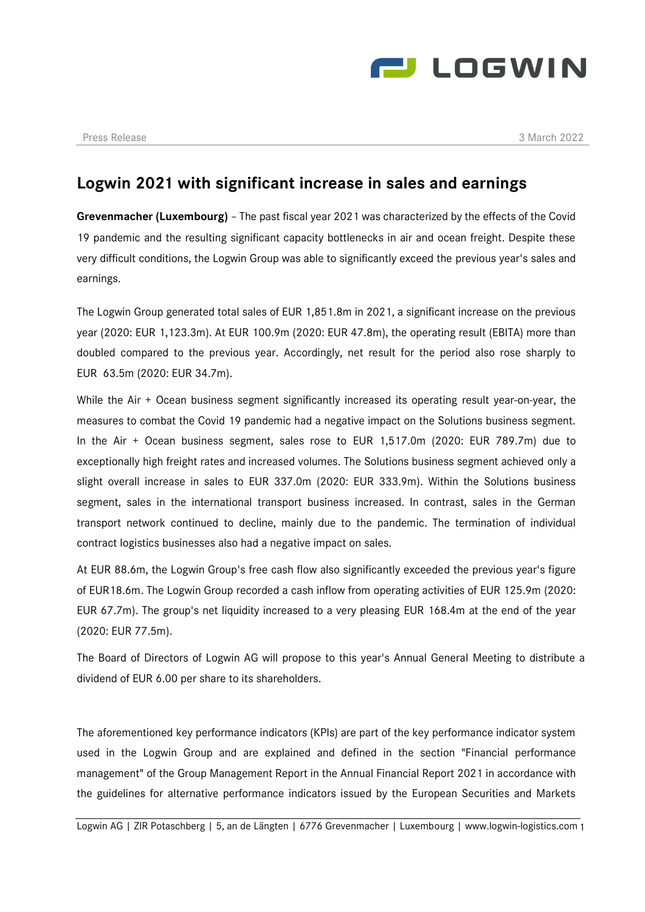

## **Logwin 2021 with significant increase in sales and earnings**

**Grevenmacher (Luxembourg)** – The past fiscal year 2021 was characterized by the effects of the Covid 19 pandemic and the resulting significant capacity bottlenecks in air and ocean freight. Despite these very difficult conditions, the Logwin Group was able to significantly exceed the previous year's sales and earnings.

The Logwin Group generated total sales of EUR 1,851.8m in 2021, a significant increase on the previous year (2020: EUR 1,123.3m). At EUR 100.9m (2020: EUR 47.8m), the operating result (EBITA) more than doubled compared to the previous year. Accordingly, net result for the period also rose sharply to EUR 63.5m (2020: EUR 34.7m).

While the Air + Ocean business segment significantly increased its operating result year-on-year, the measures to combat the Covid 19 pandemic had a negative impact on the Solutions business segment. In the Air + Ocean business segment, sales rose to EUR 1,517.0m (2020: EUR 789.7m) due to exceptionally high freight rates and increased volumes. The Solutions business segment achieved only a slight overall increase in sales to EUR 337.0m (2020: EUR 333.9m). Within the Solutions business segment, sales in the international transport business increased. In contrast, sales in the German transport network continued to decline, mainly due to the pandemic. The termination of individual contract logistics businesses also had a negative impact on sales.

At EUR 88.6m, the Logwin Group's free cash flow also significantly exceeded the previous year's figure of EUR18.6m. The Logwin Group recorded a cash inflow from operating activities of EUR 125.9m (2020: EUR 67.7m). The group's net liquidity increased to a very pleasing EUR 168.4m at the end of the year (2020: EUR 77.5m).

The Board of Directors of Logwin AG will propose to this year's Annual General Meeting to distribute a dividend of EUR 6.00 per share to its shareholders.

The aforementioned key performance indicators (KPIs) are part of the key performance indicator system used in the Logwin Group and are explained and defined in the section "Financial performance management" of the Group Management Report in the Annual Financial Report 2021 in accordance with the guidelines for alternative performance indicators issued by the European Securities and Markets